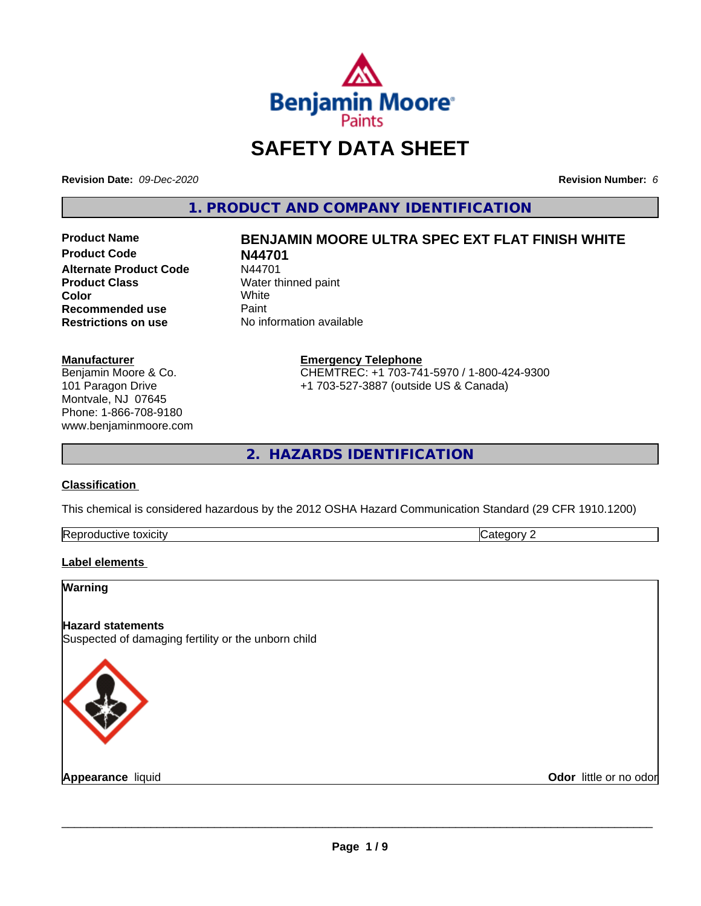

# **SAFETY DATA SHEET**

**Revision Date:** *09-Dec-2020* **Revision Number:** *6*

**1. PRODUCT AND COMPANY IDENTIFICATION**

**Product Name BENJAMIN MOORE ULTRA SPEC EXT FLAT FINISH WHITE Product Code N44701 Alternate Product Code** N44701<br>**Product Class** Water th **Color** White White **Recommended use** Paint<br> **Restrictions on use** No inf

# **No information available**

**Water thinned paint**<br>White

**Manufacturer** Benjamin Moore & Co. 101 Paragon Drive Montvale, NJ 07645 Phone: 1-866-708-9180

www.benjaminmoore.com

#### **Emergency Telephone** CHEMTREC: +1 703-741-5970 / 1-800-424-9300

+1 703-527-3887 (outside US & Canada)

**2. HAZARDS IDENTIFICATION**

## **Classification**

This chemical is considered hazardous by the 2012 OSHA Hazard Communication Standard (29 CFR 1910.1200)

| $\sim$<br>toxicity<br><b>IRADI</b><br>evit≏<br>oauct. | $\sim$<br>--<br>. . |
|-------------------------------------------------------|---------------------|

## **Label elements**

# **Warning Hazard statements** Suspected of damaging fertility or the unborn child

**Appearance** liquid

**Odor** little or no odor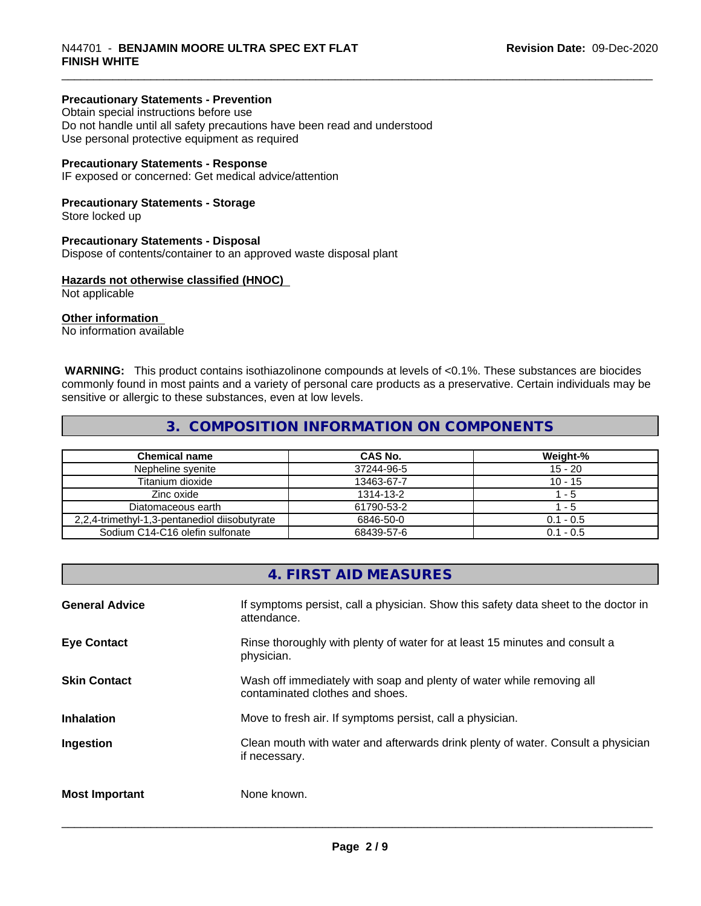## **Precautionary Statements - Prevention**

Obtain special instructions before use Do not handle until all safety precautions have been read and understood Use personal protective equipment as required

## **Precautionary Statements - Response**

IF exposed or concerned: Get medical advice/attention

## **Precautionary Statements - Storage**

Store locked up

#### **Precautionary Statements - Disposal**

Dispose of contents/container to an approved waste disposal plant

## **Hazards not otherwise classified (HNOC)**

Not applicable

#### **Other information**

No information available

 **WARNING:** This product contains isothiazolinone compounds at levels of <0.1%. These substances are biocides commonly found in most paints and a variety of personal care products as a preservative. Certain individuals may be sensitive or allergic to these substances, even at low levels.

## **3. COMPOSITION INFORMATION ON COMPONENTS**

| <b>Chemical name</b>                          | CAS No.    | Weight-%    |
|-----------------------------------------------|------------|-------------|
| Nepheline svenite                             | 37244-96-5 | $15 - 20$   |
| Titanium dioxide                              | 13463-67-7 | $10 - 15$   |
| Zinc oxide                                    | 1314-13-2  | - 5         |
| Diatomaceous earth                            | 61790-53-2 | - 5         |
| 2,2,4-trimethyl-1,3-pentanediol diisobutyrate | 6846-50-0  | $0.1 - 0.5$ |
| Sodium C14-C16 olefin sulfonate               | 68439-57-6 | $0.1 - 0.5$ |

## **4. FIRST AID MEASURES**

| <b>General Advice</b> | If symptoms persist, call a physician. Show this safety data sheet to the doctor in<br>attendance.       |
|-----------------------|----------------------------------------------------------------------------------------------------------|
| <b>Eye Contact</b>    | Rinse thoroughly with plenty of water for at least 15 minutes and consult a<br>physician.                |
| <b>Skin Contact</b>   | Wash off immediately with soap and plenty of water while removing all<br>contaminated clothes and shoes. |
| <b>Inhalation</b>     | Move to fresh air. If symptoms persist, call a physician.                                                |
| Ingestion             | Clean mouth with water and afterwards drink plenty of water. Consult a physician<br>if necessary.        |
| <b>Most Important</b> | None known.                                                                                              |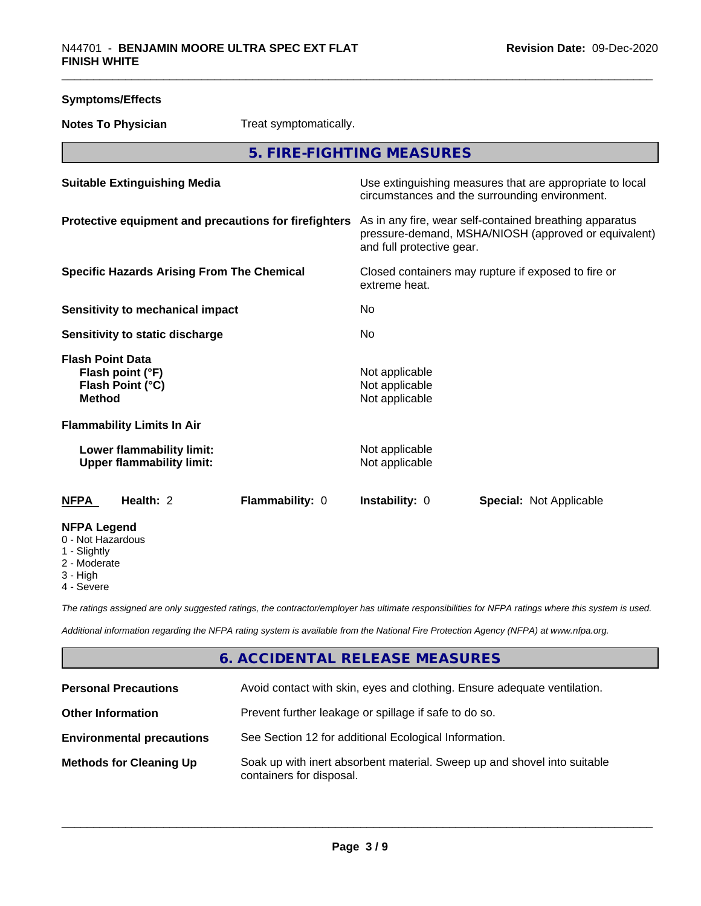| <b>Symptoms/Effects</b>                                                 |                                                               |                                                       |                                                    |                                                                                                                 |
|-------------------------------------------------------------------------|---------------------------------------------------------------|-------------------------------------------------------|----------------------------------------------------|-----------------------------------------------------------------------------------------------------------------|
|                                                                         | <b>Notes To Physician</b>                                     | Treat symptomatically.                                |                                                    |                                                                                                                 |
|                                                                         |                                                               |                                                       | 5. FIRE-FIGHTING MEASURES                          |                                                                                                                 |
|                                                                         | <b>Suitable Extinguishing Media</b>                           |                                                       |                                                    | Use extinguishing measures that are appropriate to local<br>circumstances and the surrounding environment.      |
|                                                                         |                                                               | Protective equipment and precautions for firefighters | and full protective gear.                          | As in any fire, wear self-contained breathing apparatus<br>pressure-demand, MSHA/NIOSH (approved or equivalent) |
|                                                                         | <b>Specific Hazards Arising From The Chemical</b>             |                                                       | extreme heat.                                      | Closed containers may rupture if exposed to fire or                                                             |
|                                                                         | <b>Sensitivity to mechanical impact</b>                       |                                                       | No                                                 |                                                                                                                 |
|                                                                         | Sensitivity to static discharge                               |                                                       | No                                                 |                                                                                                                 |
| <b>Flash Point Data</b><br><b>Method</b>                                | Flash point (°F)<br>Flash Point (°C)                          |                                                       | Not applicable<br>Not applicable<br>Not applicable |                                                                                                                 |
|                                                                         | <b>Flammability Limits In Air</b>                             |                                                       |                                                    |                                                                                                                 |
|                                                                         | Lower flammability limit:<br><b>Upper flammability limit:</b> |                                                       | Not applicable<br>Not applicable                   |                                                                                                                 |
| <b>NFPA</b>                                                             | Health: 2                                                     | Flammability: 0                                       | Instability: 0                                     | Special: Not Applicable                                                                                         |
| <b>NFPA Legend</b><br>0 - Not Hazardous<br>1 - Slightly<br>2 - Moderate |                                                               |                                                       |                                                    |                                                                                                                 |

3 - High

4 - Severe

*The ratings assigned are only suggested ratings, the contractor/employer has ultimate responsibilities for NFPA ratings where this system is used.*

*Additional information regarding the NFPA rating system is available from the National Fire Protection Agency (NFPA) at www.nfpa.org.*

## **6. ACCIDENTAL RELEASE MEASURES**

| <b>Personal Precautions</b>      | Avoid contact with skin, eyes and clothing. Ensure adequate ventilation.                             |
|----------------------------------|------------------------------------------------------------------------------------------------------|
| <b>Other Information</b>         | Prevent further leakage or spillage if safe to do so.                                                |
| <b>Environmental precautions</b> | See Section 12 for additional Ecological Information.                                                |
| <b>Methods for Cleaning Up</b>   | Soak up with inert absorbent material. Sweep up and shovel into suitable<br>containers for disposal. |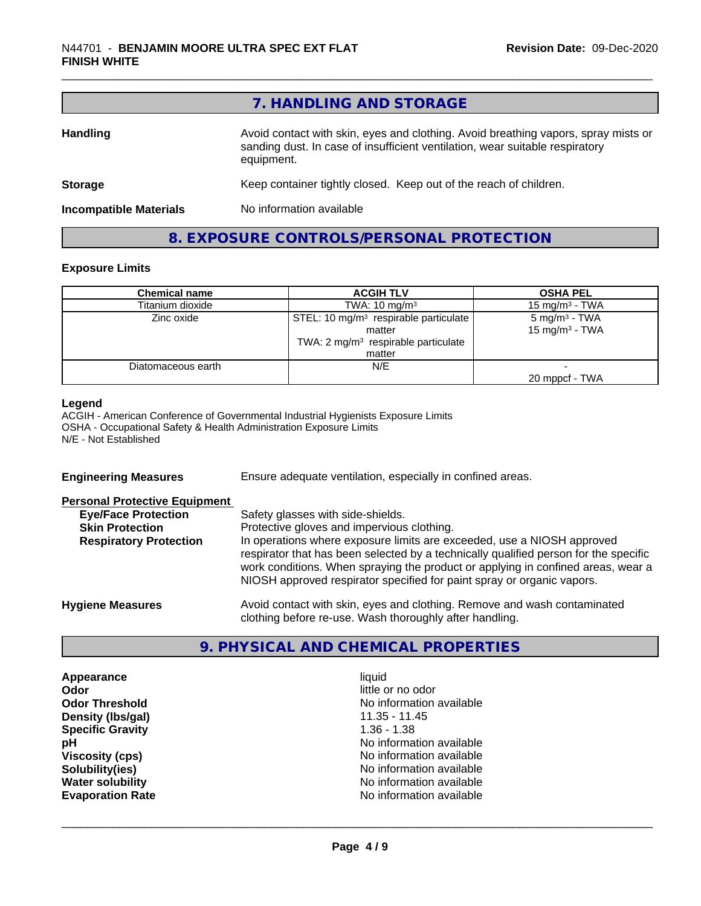|                               | 7. HANDLING AND STORAGE                                                                                                                                                          |
|-------------------------------|----------------------------------------------------------------------------------------------------------------------------------------------------------------------------------|
| <b>Handling</b>               | Avoid contact with skin, eyes and clothing. Avoid breathing vapors, spray mists or<br>sanding dust. In case of insufficient ventilation, wear suitable respiratory<br>equipment. |
| <b>Storage</b>                | Keep container tightly closed. Keep out of the reach of children.                                                                                                                |
| <b>Incompatible Materials</b> | No information available                                                                                                                                                         |
|                               | 8. EXPOSURE CONTROLS/PERSONAL PROTECTION                                                                                                                                         |

## **Exposure Limits**

| <b>Chemical name</b> | <b>ACGIH TLV</b>                                  | <b>OSHA PEL</b>            |
|----------------------|---------------------------------------------------|----------------------------|
| Titanium dioxide     | TWA: $10 \text{ mg/m}^3$                          | 15 mg/m $3$ - TWA          |
| Zinc oxide           | STEL: 10 mg/m <sup>3</sup> respirable particulate | $5 \text{ mg/m}^3$ - TWA   |
|                      | matter                                            | 15 mg/m <sup>3</sup> - TWA |
|                      | TWA: 2 mg/m <sup>3</sup> respirable particulate   |                            |
|                      | matter                                            |                            |
| Diatomaceous earth   | N/E                                               |                            |
|                      |                                                   | 20 mppcf - TWA             |

#### **Legend**

ACGIH - American Conference of Governmental Industrial Hygienists Exposure Limits OSHA - Occupational Safety & Health Administration Exposure Limits N/E - Not Established

| <b>Engineering Measures</b>          | Ensure adequate ventilation, especially in confined areas.                                                                                                                                                                                                                                                                   |
|--------------------------------------|------------------------------------------------------------------------------------------------------------------------------------------------------------------------------------------------------------------------------------------------------------------------------------------------------------------------------|
| <b>Personal Protective Equipment</b> |                                                                                                                                                                                                                                                                                                                              |
| <b>Eye/Face Protection</b>           | Safety glasses with side-shields.                                                                                                                                                                                                                                                                                            |
| <b>Skin Protection</b>               | Protective gloves and impervious clothing.                                                                                                                                                                                                                                                                                   |
| <b>Respiratory Protection</b>        | In operations where exposure limits are exceeded, use a NIOSH approved<br>respirator that has been selected by a technically qualified person for the specific<br>work conditions. When spraying the product or applying in confined areas, wear a<br>NIOSH approved respirator specified for paint spray or organic vapors. |
| <b>Hygiene Measures</b>              | Avoid contact with skin, eyes and clothing. Remove and wash contaminated<br>clothing before re-use. Wash thoroughly after handling.                                                                                                                                                                                          |

## **9. PHYSICAL AND CHEMICAL PROPERTIES**

**Appearance** liquid<br> **Appearance** liquid<br> **Odor** little c **Density (Ibs/gal)** 11.35 - 11.45<br> **Specific Gravity** 1.36 - 1.38 **Specific Gravity** 

little or no odor **Odor Threshold**<br> **Density (Ibs/gal)**<br> **Density (Ibs/gal)**<br> **No information available**<br>
11.35 - 11.45 **pH**<br>
Viscosity (cps) The Contract Contract Contract Contract Contract Contract Contract Contract Contract Contract C<br>
No information available **Viscosity (cps)** <br> **Viscosity (cps)** No information available<br>
No information available<br>
No information available **No information available Water solubility**<br> **Evaporation Rate**<br> **Evaporation Rate**<br> **Evaporation Rate Evaporation Rate** No information available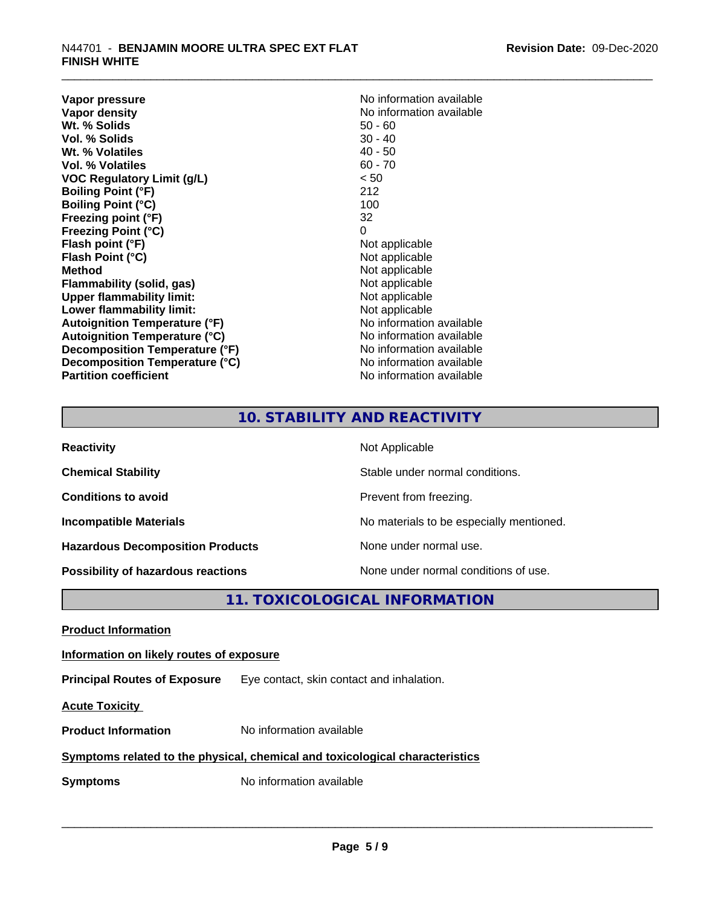**Vapor pressure** No information available<br> **Vapor density**<br> **Vapor density Wt. % Solids** 50 - 60<br> **Vol. % Solids** 50 - 40<br> **Vol. % Solids** 50 - 40 **Vol. % Solids** 30 - 40<br> **Wt. % Volatiles** 30 - 40 **Wt. % Volatiles Vol. % Volatiles** 60 - 70 **VOC Regulatory Limit (g/L)** < 50 **Boiling Point (°F)** 212 **Boiling Point (°C)** 100 **Freezing point (°F)** 32 **Freezing Point (°C)** 0 **Flash point (°F)** Not applicable **Flash Point (°C)**<br> **Method** Not applicable<br>
Not applicable<br>
Not applicable **Flammability** (solid, gas) **Upper flammability limit:**<br> **Lower flammability limit:** Not applicable Not applicable **Lower flammability limit:**<br> **Autoignition Temperature (°F)** Moinformation available **Autoignition Temperature (°F) Autoignition Temperature (°C)**<br> **Decomposition Temperature (°F)** No information available **Decomposition Temperature (°F) Decomposition Temperature (°C)** No information available **Partition coefficient Contract Community No information available** 

**No information available**<br>50 - 60 **Not applicable**<br>Not applicable

## **10. STABILITY AND REACTIVITY**

| <b>Reactivity</b>                         | Not Applicable                           |
|-------------------------------------------|------------------------------------------|
| <b>Chemical Stability</b>                 | Stable under normal conditions.          |
| <b>Conditions to avoid</b>                | Prevent from freezing.                   |
| <b>Incompatible Materials</b>             | No materials to be especially mentioned. |
| <b>Hazardous Decomposition Products</b>   | None under normal use.                   |
| <b>Possibility of hazardous reactions</b> | None under normal conditions of use.     |

## **11. TOXICOLOGICAL INFORMATION**

**Product Information**

**Information on likely routes of exposure**

**Principal Routes of Exposure** Eye contact, skin contact and inhalation.

**Acute Toxicity** 

**Product Information** No information available

## **Symptoms related to the physical,chemical and toxicological characteristics**

**Symptoms** No information available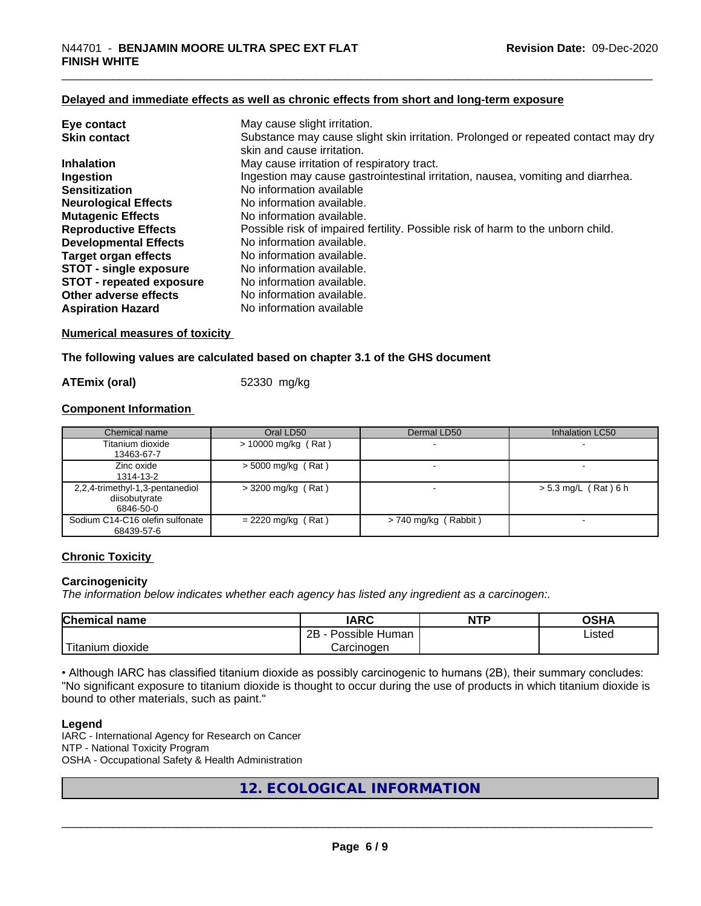## **Delayed and immediate effects as well as chronic effects from short and long-term exposure**

| Eye contact                   | May cause slight irritation.                                                                                    |
|-------------------------------|-----------------------------------------------------------------------------------------------------------------|
| <b>Skin contact</b>           | Substance may cause slight skin irritation. Prolonged or repeated contact may dry<br>skin and cause irritation. |
| <b>Inhalation</b>             | May cause irritation of respiratory tract.                                                                      |
| Ingestion                     | Ingestion may cause gastrointestinal irritation, nausea, vomiting and diarrhea.                                 |
| <b>Sensitization</b>          | No information available                                                                                        |
| <b>Neurological Effects</b>   | No information available.                                                                                       |
| <b>Mutagenic Effects</b>      | No information available.                                                                                       |
| <b>Reproductive Effects</b>   | Possible risk of impaired fertility. Possible risk of harm to the unborn child.                                 |
| <b>Developmental Effects</b>  | No information available.                                                                                       |
| Target organ effects          | No information available.                                                                                       |
| <b>STOT - single exposure</b> | No information available.                                                                                       |
| STOT - repeated exposure      | No information available.                                                                                       |
| Other adverse effects         | No information available.                                                                                       |
| <b>Aspiration Hazard</b>      | No information available                                                                                        |

## **Numerical measures of toxicity**

**The following values are calculated based on chapter 3.1 of the GHS document**

**ATEmix (oral)** 52330 mg/kg

#### **Component Information**

| Chemical name                                                 | Oral LD50             | Dermal LD50          | Inhalation LC50        |
|---------------------------------------------------------------|-----------------------|----------------------|------------------------|
| Titanium dioxide<br>13463-67-7                                | $> 10000$ mg/kg (Rat) |                      |                        |
| Zinc oxide<br>1314-13-2                                       | $>$ 5000 mg/kg (Rat)  |                      |                        |
| 2,2,4-trimethyl-1,3-pentanediol<br>diisobutyrate<br>6846-50-0 | $>$ 3200 mg/kg (Rat)  |                      | $> 5.3$ mg/L (Rat) 6 h |
| Sodium C14-C16 olefin sulfonate<br>68439-57-6                 | $= 2220$ mg/kg (Rat)  | > 740 mg/kg (Rabbit) |                        |

## **Chronic Toxicity**

## **Carcinogenicity**

*The information below indicateswhether each agency has listed any ingredient as a carcinogen:.*

| Chemical<br>∣ name     | <b>IARC</b>                    | <b>NTP</b> | <b>OSHA</b> |
|------------------------|--------------------------------|------------|-------------|
|                        | .<br>2B<br>Possible<br>· Human |            | Listed      |
| n dioxide<br>l itanıum | Carcinoɑen                     |            |             |

• Although IARC has classified titanium dioxide as possibly carcinogenic to humans (2B), their summary concludes: "No significant exposure to titanium dioxide is thought to occur during the use of products in which titanium dioxide is bound to other materials, such as paint."

#### **Legend**

IARC - International Agency for Research on Cancer NTP - National Toxicity Program OSHA - Occupational Safety & Health Administration

## **12. ECOLOGICAL INFORMATION**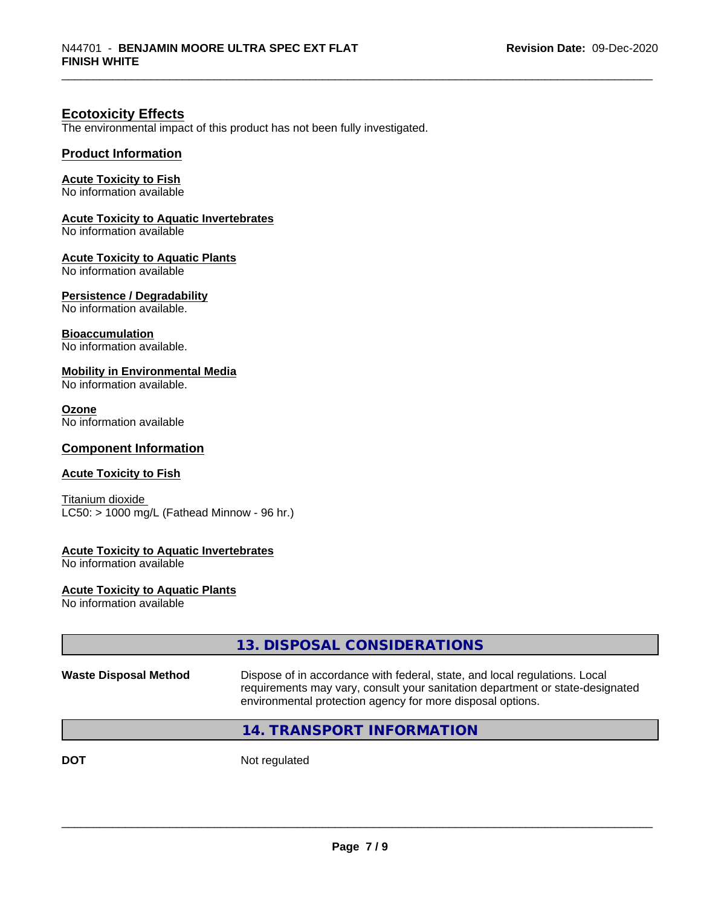## **Ecotoxicity Effects**

The environmental impact of this product has not been fully investigated.

## **Product Information**

## **Acute Toxicity to Fish**

No information available

## **Acute Toxicity to Aquatic Invertebrates**

No information available

## **Acute Toxicity to Aquatic Plants**

No information available

## **Persistence / Degradability**

No information available.

## **Bioaccumulation**

No information available.

#### **Mobility in Environmental Media**

No information available.

#### **Ozone**

No information available

## **Component Information**

## **Acute Toxicity to Fish**

Titanium dioxide  $\overline{\text{LC50:}}$  > 1000 mg/L (Fathead Minnow - 96 hr.)

## **Acute Toxicity to Aquatic Invertebrates**

No information available

#### **Acute Toxicity to Aquatic Plants**

No information available

|                              | 13. DISPOSAL CONSIDERATIONS                                                                                                                                                                                               |
|------------------------------|---------------------------------------------------------------------------------------------------------------------------------------------------------------------------------------------------------------------------|
| <b>Waste Disposal Method</b> | Dispose of in accordance with federal, state, and local regulations. Local<br>requirements may vary, consult your sanitation department or state-designated<br>environmental protection agency for more disposal options. |
|                              | 14. TRANSPORT INFORMATION                                                                                                                                                                                                 |
|                              |                                                                                                                                                                                                                           |

**DOT** Not regulated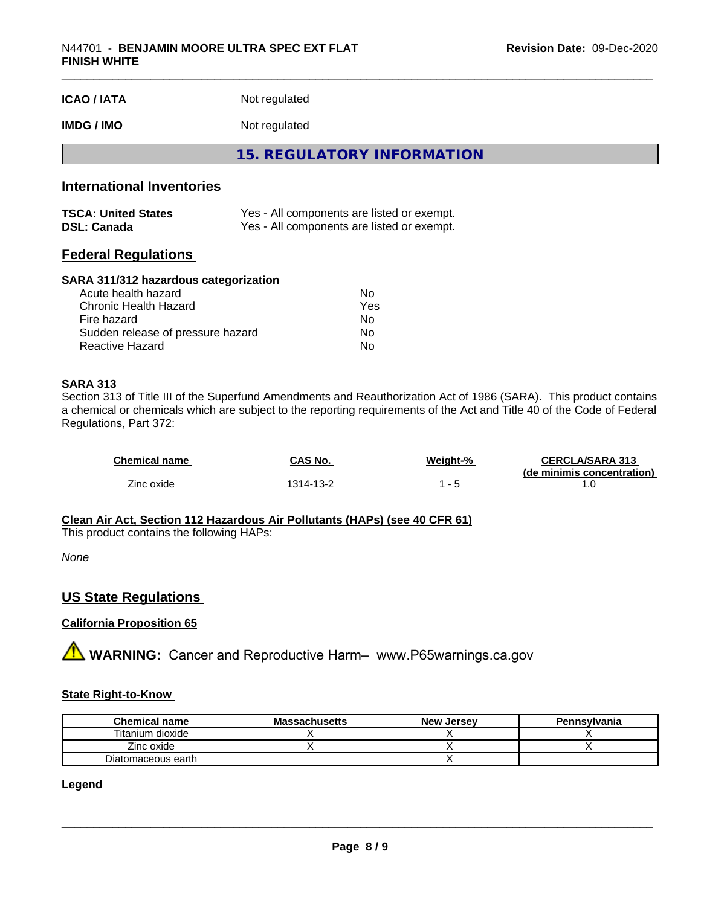| <b>ICAO / IATA</b>               | Not regulated                              |  |  |
|----------------------------------|--------------------------------------------|--|--|
| <b>IMDG / IMO</b>                | Not regulated                              |  |  |
|                                  | 15. REGULATORY INFORMATION                 |  |  |
| <b>International Inventories</b> |                                            |  |  |
| <b>TSCA: United States</b>       | Yes - All components are listed or exempt. |  |  |

## **Federal Regulations**

#### **SARA 311/312 hazardous categorization**

| Acute health hazard               | Nο  |  |
|-----------------------------------|-----|--|
| Chronic Health Hazard             | Yes |  |
| Fire hazard                       | Nο  |  |
| Sudden release of pressure hazard | Nο  |  |
| Reactive Hazard                   | Nο  |  |

**DSL: Canada** Yes - All components are listed or exempt.

## **SARA 313**

Section 313 of Title III of the Superfund Amendments and Reauthorization Act of 1986 (SARA). This product contains a chemical or chemicals which are subject to the reporting requirements of the Act and Title 40 of the Code of Federal Regulations, Part 372:

| <b>Chemical name</b> | CAS No.   | Weight-% | <b>CERCLA/SARA 313</b><br>(de minimis concentration) |
|----------------------|-----------|----------|------------------------------------------------------|
| Zinc oxide           | 1314-13-2 |          |                                                      |

#### **Clean Air Act,Section 112 Hazardous Air Pollutants (HAPs) (see 40 CFR 61)**

This product contains the following HAPs:

*None*

## **US State Regulations**

## **California Proposition 65**

**A** WARNING: Cancer and Reproductive Harm– www.P65warnings.ca.gov

## **State Right-to-Know**

| <b>Chemical name</b> | <b>Massachusetts</b> | <b>New Jersey</b> | Pennsylvania |
|----------------------|----------------------|-------------------|--------------|
| Titanium dioxide     |                      |                   |              |
| Zinc oxide           |                      |                   |              |
| Diatomaceous earth   |                      |                   |              |

## **Legend**